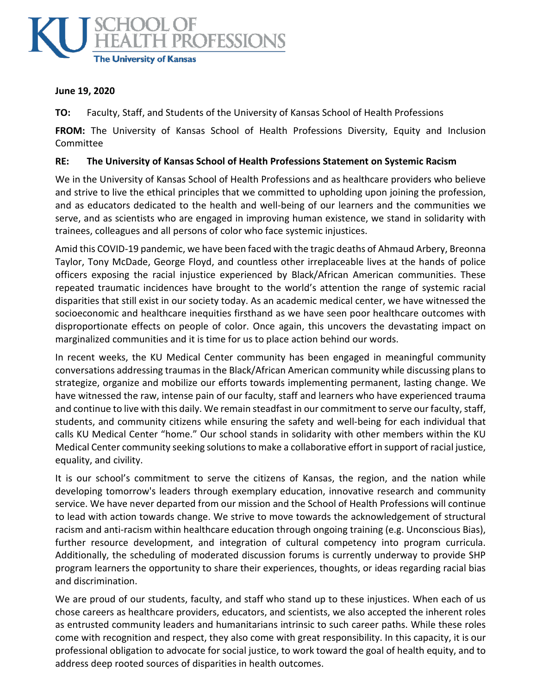

## **June 19, 2020**

**TO:** Faculty, Staff, and Students of the University of Kansas School of Health Professions

**FROM:** The University of Kansas School of Health Professions Diversity, Equity and Inclusion Committee

## **RE: The University of Kansas School of Health Professions Statement on Systemic Racism**

We in the University of Kansas School of Health Professions and as healthcare providers who believe and strive to live the ethical principles that we committed to upholding upon joining the profession, and as educators dedicated to the health and well-being of our learners and the communities we serve, and as scientists who are engaged in improving human existence, we stand in solidarity with trainees, colleagues and all persons of color who face systemic injustices.

Amid this COVID-19 pandemic, we have been faced with the tragic deaths of Ahmaud Arbery, Breonna Taylor, Tony McDade, George Floyd, and countless other irreplaceable lives at the hands of police officers exposing the racial injustice experienced by Black/African American communities. These repeated traumatic incidences have brought to the world's attention the range of systemic racial disparities that still exist in our society today. As an academic medical center, we have witnessed the socioeconomic and healthcare inequities firsthand as we have seen poor healthcare outcomes with disproportionate effects on people of color. Once again, this uncovers the devastating impact on marginalized communities and it is time for us to place action behind our words.

In recent weeks, the KU Medical Center community has been engaged in meaningful community conversations addressing traumas in the Black/African American community while discussing plans to strategize, organize and mobilize our efforts towards implementing permanent, lasting change. We have witnessed the raw, intense pain of our faculty, staff and learners who have experienced trauma and continue to live with this daily. We remain steadfast in our commitment to serve our faculty, staff, students, and community citizens while ensuring the safety and well-being for each individual that calls KU Medical Center "home." Our school stands in solidarity with other members within the KU Medical Center community seeking solutions to make a collaborative effort in support of racial justice, equality, and civility.

It is our school's commitment to serve the citizens of Kansas, the region, and the nation while developing tomorrow's leaders through exemplary education, innovative research and community service. We have never departed from our mission and the School of Health Professions will continue to lead with action towards change. We strive to move towards the acknowledgement of structural racism and anti-racism within healthcare education through ongoing training (e.g. Unconscious Bias), further resource development, and integration of cultural competency into program curricula. Additionally, the scheduling of moderated discussion forums is currently underway to provide SHP program learners the opportunity to share their experiences, thoughts, or ideas regarding racial bias and discrimination.

We are proud of our students, faculty, and staff who stand up to these injustices. When each of us chose careers as healthcare providers, educators, and scientists, we also accepted the inherent roles as entrusted community leaders and humanitarians intrinsic to such career paths. While these roles come with recognition and respect, they also come with great responsibility. In this capacity, it is our professional obligation to advocate for social justice, to work toward the goal of health equity, and to address deep rooted sources of disparities in health outcomes.